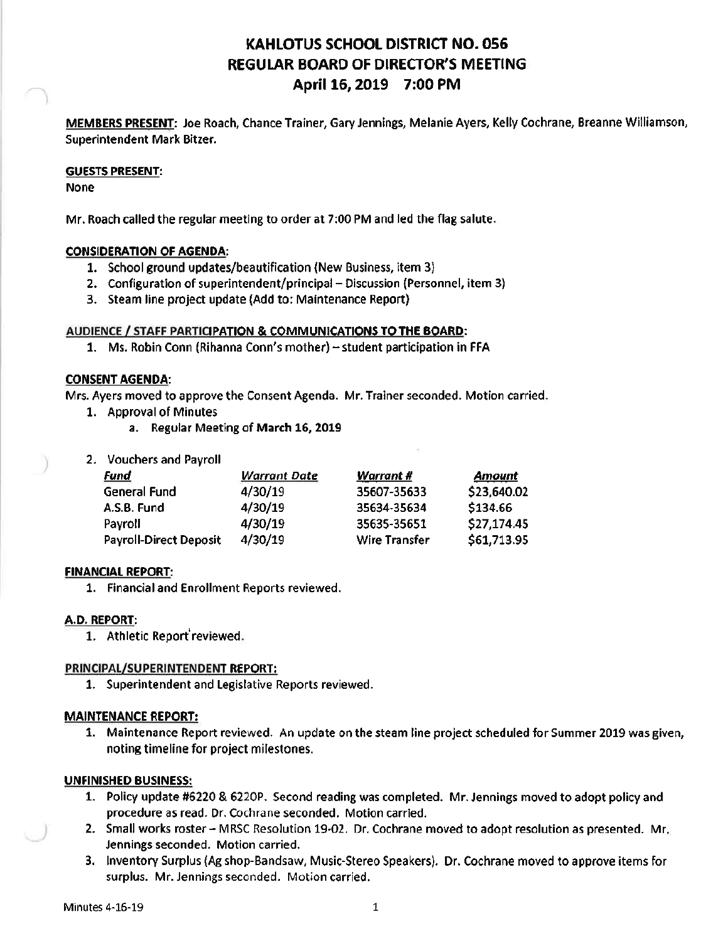# **KAHLOTUS SCHOOL DISTRICT NO. 056 REGULAR BOARD OF DIRECTOR'S MEETING** April 16, 2019 7:00 PM

MEMBERS PRESENT: Joe Roach, Chance Trainer, Gary Jennings, Melanie Ayers, Kelly Cochrane, Breanne Williamson, **Superintendent Mark Bitzer.** 

#### **GUESTS PRESENT:**

**None** 

Mr. Roach called the regular meeting to order at 7:00 PM and led the flag salute.

## **CONSIDERATION OF AGENDA:**

- 1. School ground updates/beautification (New Business, item 3)
- 2. Configuration of superintendent/principal Discussion (Personnel, item 3)
- 3. Steam line project update (Add to: Maintenance Report)

## AUDIENCE / STAFF PARTICIPATION & COMMUNICATIONS TO THE BOARD:

1. Ms. Robin Conn (Rihanna Conn's mother) - student participation in FFA

## **CONSENT AGENDA:**

Mrs. Ayers moved to approve the Consent Agenda. Mr. Trainer seconded. Motion carried.

- 1. Approval of Minutes
	- a. Regular Meeting of March 16, 2019
- 2. Vouchers and Payroll

| <u>Fund</u>                   | <b>Warrant Date</b> | <u>Warrant #</u>     | <u>Amount</u> |
|-------------------------------|---------------------|----------------------|---------------|
| General Fund                  | 4/30/19             | 35607-35633          | \$23,640.02   |
| A.S.B. Fund                   | 4/30/19             | 35634-35634          | \$134.66      |
| Payroll                       | 4/30/19             | 35635-35651          | \$27,174.45   |
| <b>Payroll-Direct Deposit</b> | 4/30/19             | <b>Wire Transfer</b> | \$61,713.95   |

## **FINANCIAL REPORT:**

1. Financial and Enrollment Reports reviewed.

## A.D. REPORT:

1. Athletic Report reviewed.

## PRINCIPAL/SUPERINTENDENT REPORT:

1. Superintendent and Legislative Reports reviewed.

## **MAINTENANCE REPORT:**

1. Maintenance Report reviewed. An update on the steam line project scheduled for Summer 2019 was given, noting timeline for project milestones.

## **UNFINISHED BUSINESS:**

- 1. Policy update #6220 & 6220P. Second reading was completed. Mr. Jennings moved to adopt policy and procedure as read. Dr. Cochrane seconded. Motion carried.
- 2. Small works roster MRSC Resolution 19-02. Dr. Cochrane moved to adopt resolution as presented. Mr. Jennings seconded. Motion carried.
- 3. Inventory Surplus (Ag shop-Bandsaw, Music-Stereo Speakers). Dr. Cochrane moved to approve items for surplus. Mr. Jennings seconded. Motion carried.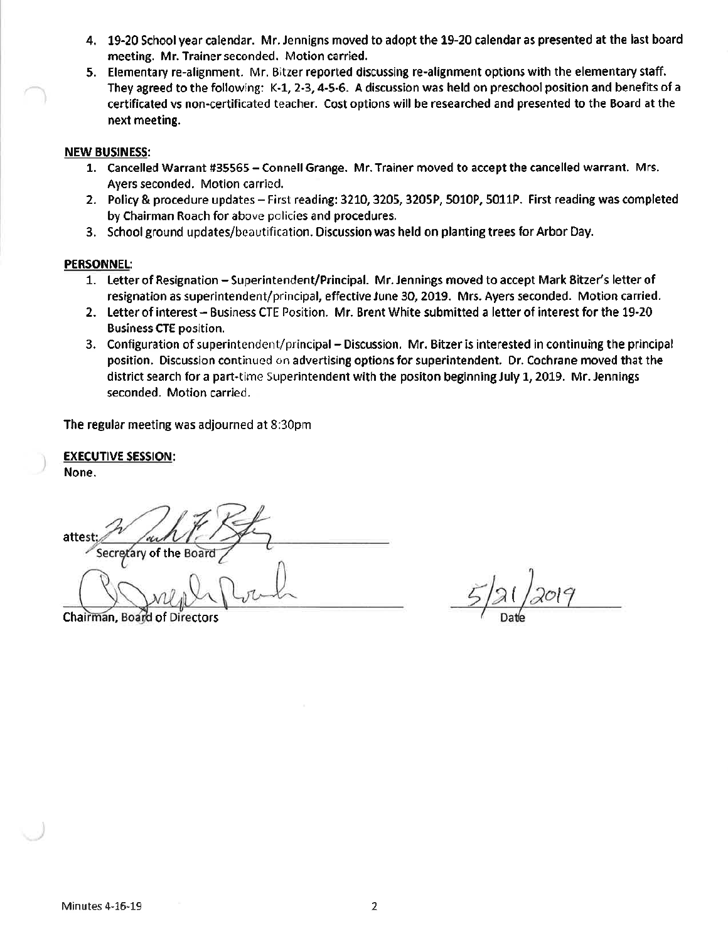- 4. 19-20 School year calendar. Mr. Jennigns moved to adopt the 19-20 calendar as presented at the last board meeting. Mr. Trainer seconded. Motion carried.
- 5. Elementary re-alignment. Mr. Bitzer reported discussing re-alignment options with the elementary staff. They agreed to the following: K-1, 2-3, 4-5-6. A discussion was held on preschool position and benefits of a certificated vs non-certificated teacher. Cost options will be researched and presented to the Board at the next meeting.

#### **NEW BUSINESS:**

- 1. Cancelled Warrant #35565 Connell Grange. Mr. Trainer moved to accept the cancelled warrant. Mrs. Ayers seconded. Motion carried.
- 2. Policy & procedure updates First reading: 3210, 3205, 3205P, 5010P, 5011P. First reading was completed by Chairman Roach for above policies and procedures.
- 3. School ground updates/beautification. Discussion was held on planting trees for Arbor Day.

#### **PERSONNEL:**

- 1. Letter of Resignation Superintendent/Principal. Mr. Jennings moved to accept Mark Bitzer's letter of resignation as superintendent/principal, effective June 30, 2019. Mrs. Ayers seconded. Motion carried.
- 2. Letter of interest Business CTE Position. Mr. Brent White submitted a letter of interest for the 19-20 **Business CTE position.**
- 3. Configuration of superintendent/principal Discussion. Mr. Bitzer is interested in continuing the principal position. Discussion continued on advertising options for superintendent. Dr. Cochrane moved that the district search for a part-time Superintendent with the positon beginning July 1, 2019. Mr. Jennings seconded. Motion carried.

The regular meeting was adjourned at 8:30pm

**EXECUTIVE SESSION:** None.

attest Secretary of the Boar

Chairman, Board of Directors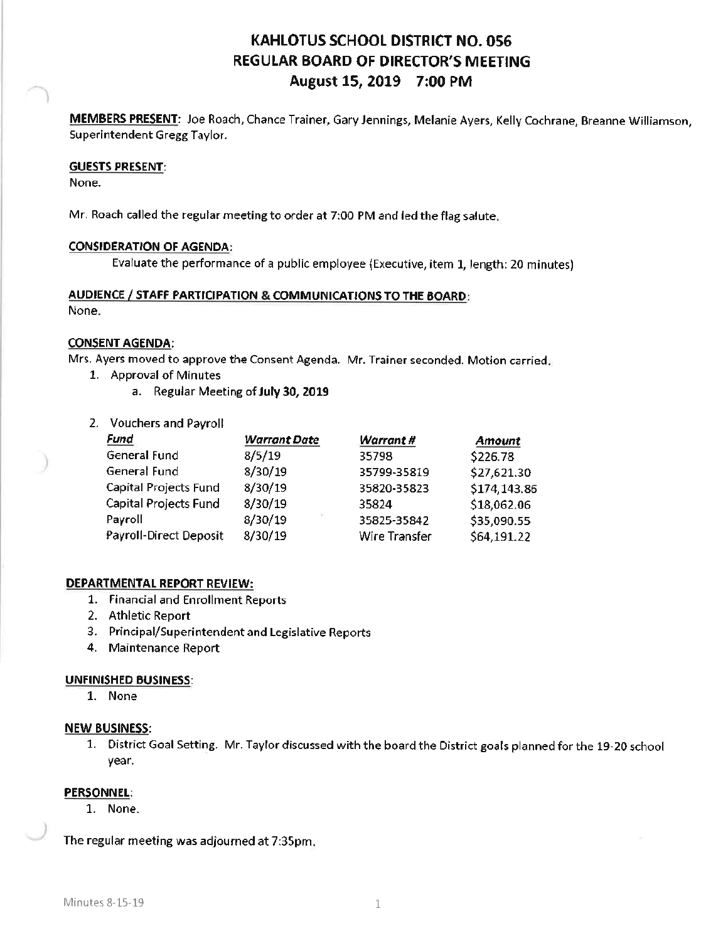# **KAHLOTUS SCHOOL DISTRICT NO. 056 REGULAR BOARD OF DIRECTOR'S MEETING** August 15, 2019 7:00 PM

MEMBERS PRESENT: Joe Roach, Chance Trainer, Gary Jennings, Melanie Ayers, Kelly Cochrane, Breanne Williamson, Superintendent Gregg Taylor.

#### **GUESTS PRESENT:**

None.

Mr. Roach called the regular meeting to order at 7:00 PM and led the flag salute.

#### **CONSIDERATION OF AGENDA:**

Evaluate the performance of a public employee (Executive, item 1, length: 20 minutes)

#### AUDIENCE / STAFF PARTICIPATION & COMMUNICATIONS TO THE BOARD:

None.

#### **CONSENT AGENDA:**

Mrs. Ayers moved to approve the Consent Agenda. Mr. Trainer seconded. Motion carried.

- 1. Approval of Minutes
	- a. Regular Meeting of July 30, 2019
- 2. Vouchers and Payroll

| Fund                   | <b>Warrant Date</b> | <b>Warrant</b> # | <b>Amount</b> |
|------------------------|---------------------|------------------|---------------|
| General Fund           | 8/5/19              | 35798            | \$226.78      |
| General Fund           | 8/30/19             | 35799-35819      | \$27,621.30   |
| Capital Projects Fund  | 8/30/19             | 35820-35823      | \$174,143.86  |
| Capital Projects Fund  | 8/30/19             | 35824            | \$18,062.06   |
| Payroll                | 8/30/19             | 35825-35842      | \$35,090.55   |
| Payroll-Direct Deposit | 8/30/19             | Wire Transfer    | \$64,191.22   |

#### DEPARTMENTAL REPORT REVIEW:

- 1. Financial and Enrollment Reports
- 2. Athletic Report
- 3. Principal/Superintendent and Legislative Reports
- 4. Maintenance Report

#### **UNFINISHED BUSINESS:**

1. None

#### **NEW BUSINESS:**

1. District Goal Setting. Mr. Taylor discussed with the board the District goals planned for the 19-20 school year.

#### **PERSONNEL:**

1. None.

The regular meeting was adjourned at 7:35pm;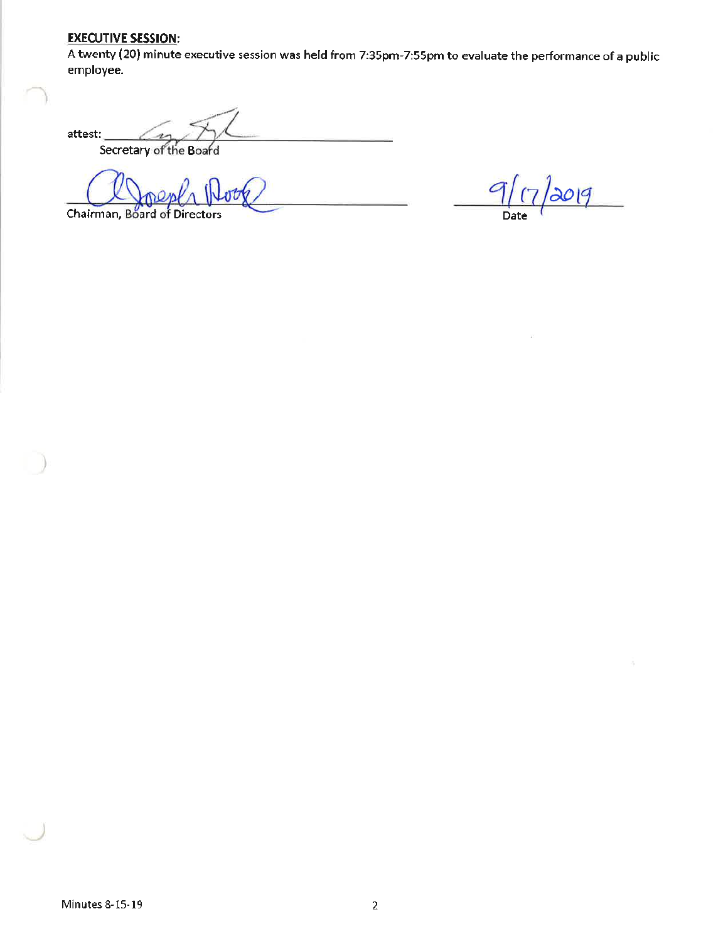## **EXECUTIVE SESSION:**

A twenty (20) minute executive session was held from 7:35pm-7:55pm to evaluate the performance of a public employee.

attest: Secretary of the Board

Chairman, Board of Directors

 $9(7)$  $\log$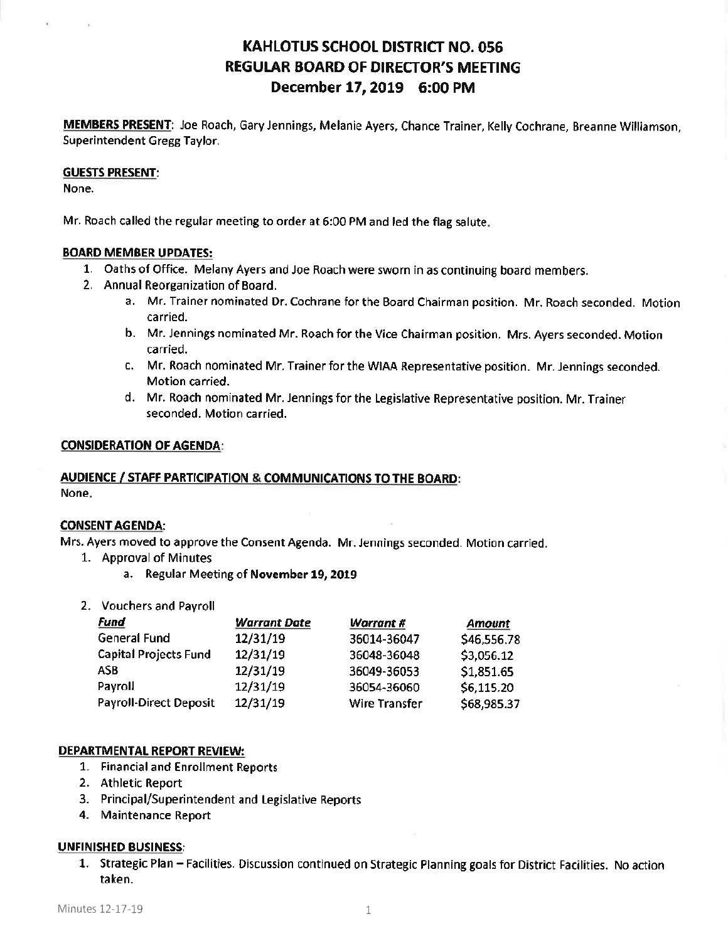## **KAHLOTUS SCHOOL DISTRICT NO. 056 REGULAR BOARD OF DIRECTOR'S MEETING** December 17, 2019 6:00 PM

MEMBERS PRESENT: Joe Roach, Gary Jennings, Melanie Ayers, Chance Trainer, Kelly Cochrane, Breanne Williamson, Superintendent Gregg Taylor.

#### **GUESTS PRESENT:**

None.

Mr. Roach called the regular meeting to order at 6:00 PM and led the flag salute.

#### **BOARD MEMBER UPDATES:**

- 1. Oaths of Office. Melany Ayers and Joe Roach were sworn in as continuing board members.
- 2. Annual Reorganization of Board.
	- a. Mr. Trainer nominated Dr. Cochrane for the Board Chairman position. Mr. Roach seconded. Motion carried.
	- b. Mr. Jennings nominated Mr. Roach for the Vice Chairman position. Mrs. Ayers seconded. Motion carried.
	- c. Mr. Roach nominated Mr. Trainer for the WIAA Representative position. Mr. Jennings seconded. Motion carried.
	- d. Mr. Roach nominated Mr. Jennings for the Legislative Representative position. Mr. Trainer seconded. Motion carried.

#### **CONSIDERATION OF AGENDA:**

#### **AUDIENCE / STAFF PARTICIPATION & COMMUNICATIONS TO THE BOARD:** None.

#### **CONSENT AGENDA:**

Mrs. Ayers moved to approve the Consent Agenda. Mr. Jennings seconded. Motion carried.

- 1. Approval of Minutes
	- a. Regular Meeting of November 19, 2019
- 2. Vouchers and Payroll

| <b>Fund</b>                   | <b>Warrant Date</b> | Warrant #            | <b>Amount</b> |
|-------------------------------|---------------------|----------------------|---------------|
| <b>General Fund</b>           | 12/31/19            | 36014-36047          | \$46,556.78   |
| <b>Capital Projects Fund</b>  | 12/31/19            | 36048-36048          | \$3,056.12    |
| ASB                           | 12/31/19            | 36049-36053          | \$1,851.65    |
| Payroll                       | 12/31/19            | 36054-36060          | \$6,115.20    |
| <b>Payroll-Direct Deposit</b> | 12/31/19            | <b>Wire Transfer</b> | \$68,985.37   |

#### DEPARTMENTAL REPORT REVIEW:

- 1. Financial and Enrollment Reports
- 2. Athletic Report
- 3. Principal/Superintendent and Legislative Reports
- 4. Maintenance Report

## **UNFINISHED BUSINESS:**

1. Strategic Plan - Facilities. Discussion continued on Strategic Planning goals for District Facilities. No action taken.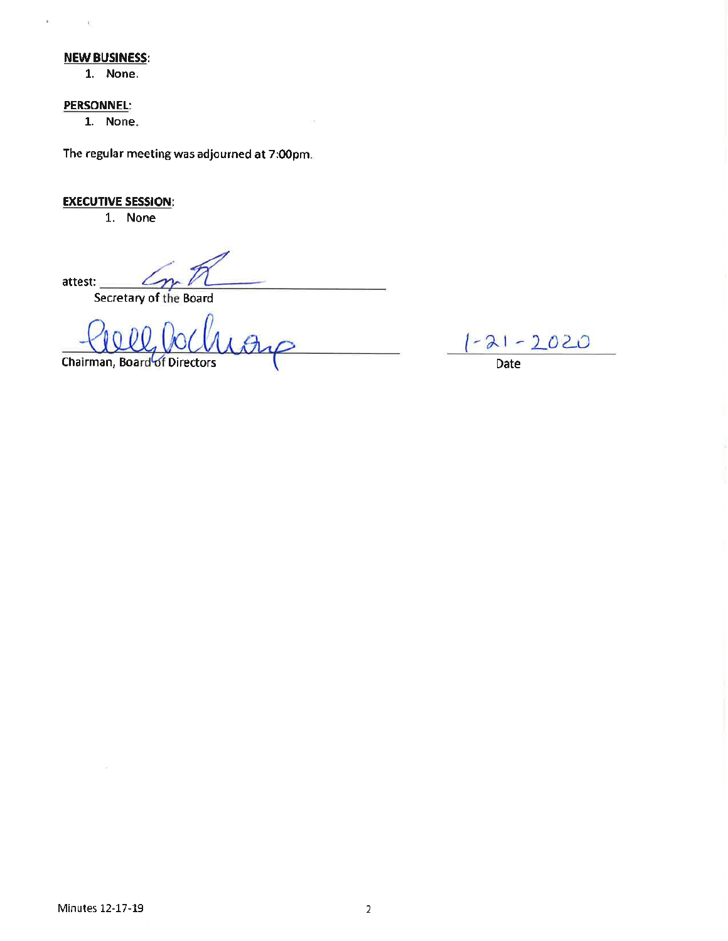#### **NEW BUSINESS:**

1. None.

#### **PERSONNEL:**

 $\mathbf{V}$ 

 $\mathcal{L}^{\mathcal{L}}$  . The set of  $\mathcal{L}^{\mathcal{L}}$ 

1. None.

The regular meeting was adjourned at 7:00pm.

## **EXECUTIVE SESSION:**

1. None

attest:

Secretary of the Board

Chairman, Board of Directors

 $-21 - 2020$ 

Date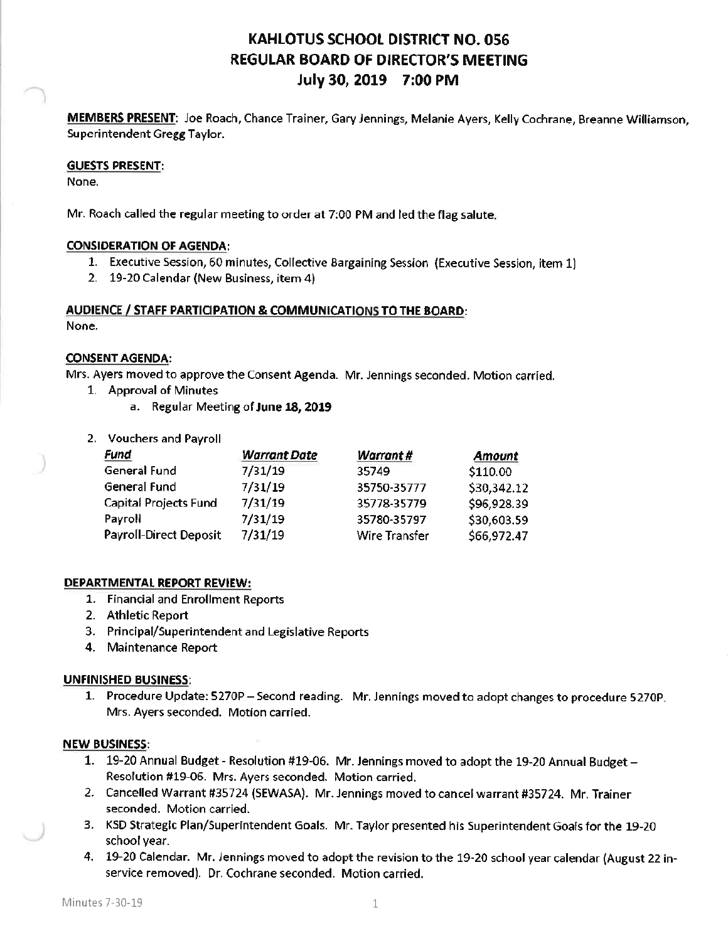# **KAHLOTUS SCHOOL DISTRICT NO. 056** REGULAR BOARD OF DIRECTOR'S MEETING July 30, 2019 7:00 PM

MEMBERS PRESENT: Joe Roach, Chance Trainer, Gary Jennings, Melanie Ayers, Kelly Cochrane, Breanne Williamson, Superintendent Gregg Taylor.

#### **GUESTS PRESENT:**

None.

Mr. Roach called the regular meeting to order at 7:00 PM and led the flag salute.

## **CONSIDERATION OF AGENDA:**

- 1. Executive Session, 60 minutes, Collective Bargaining Session (Executive Session, item 1)
- 2. 19-20 Calendar (New Business, item 4)

## AUDIENCE / STAFF PARTICIPATION & COMMUNICATIONS TO THE BOARD:

None.

#### **CONSENT AGENDA:**

Mrs. Ayers moved to approve the Consent Agenda. Mr. Jennings seconded. Motion carried.

- 1. Approval of Minutes
	- a. Regular Meeting of June 18, 2019
- 2. Vouchers and Payroll

| Fund                         | <b>Warrant Date</b> | <b>Warrant#</b> | Amount      |
|------------------------------|---------------------|-----------------|-------------|
| General Fund                 | 7/31/19             | 35749           | \$110.00    |
| General Fund                 | 7/31/19             | 35750-35777     | \$30,342.12 |
| <b>Capital Projects Fund</b> | 7/31/19             | 35778-35779     | \$96,928.39 |
| Payroll                      | 7/31/19             | 35780-35797     | \$30,603.59 |
| Payroll-Direct Deposit       | 7/31/19             | Wire Transfer   | \$66,972.47 |

#### DEPARTMENTAL REPORT REVIEW:

- 1. Financial and Enrollment Reports
- 2. Athletic Report
- 3. Principal/Superintendent and Legislative Reports
- 4. Maintenance Report

#### **UNFINISHED BUSINESS:**

1. Procedure Update: 5270P - Second reading. Mr. Jennings moved to adopt changes to procedure 5270P. Mrs. Ayers seconded. Motion carried.

#### **NEW BUSINESS:**

- 1. 19-20 Annual Budget Resolution #19-06. Mr. Jennings moved to adopt the 19-20 Annual Budget -Resolution #19-06. Mrs. Ayers seconded. Motion carried.
- 2. Cancelled Warrant #35724 (SEWASA). Mr. Jennings moved to cancel warrant #35724. Mr. Trainer seconded. Motion carried.
- 3. KSD Strategic Plan/Superintendent Goals. Mr. Taylor presented his Superintendent Goals for the 19-20 school year.
- 4. 19-20 Calendar. Mr. Jennings moved to adopt the revision to the 19-20 school year calendar (August 22 inservice removed). Dr. Cochrane seconded. Motion carried.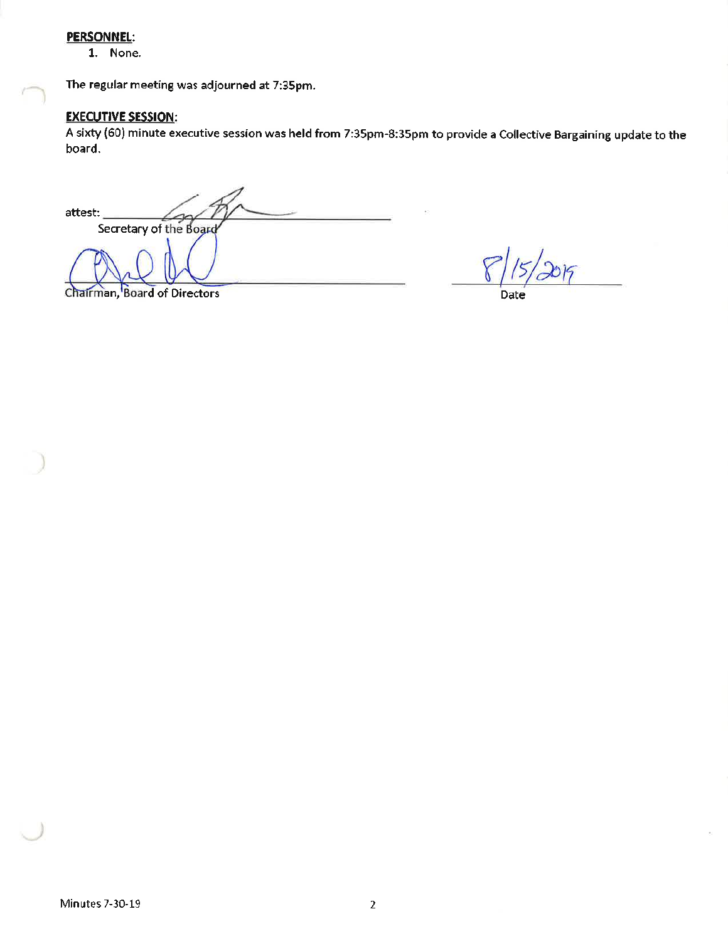#### **PERSONNEL:**

1. None.

The regular meeting was adjourned at 7:35pm.

## **EXECUTIVE SESSION:**

A sixty (60) minute executive session was held from 7:35pm-8:35pm to provide a Collective Bargaining update to the board.

attest: Secretary of the Board

Chairman, Board of Directors

2015

Date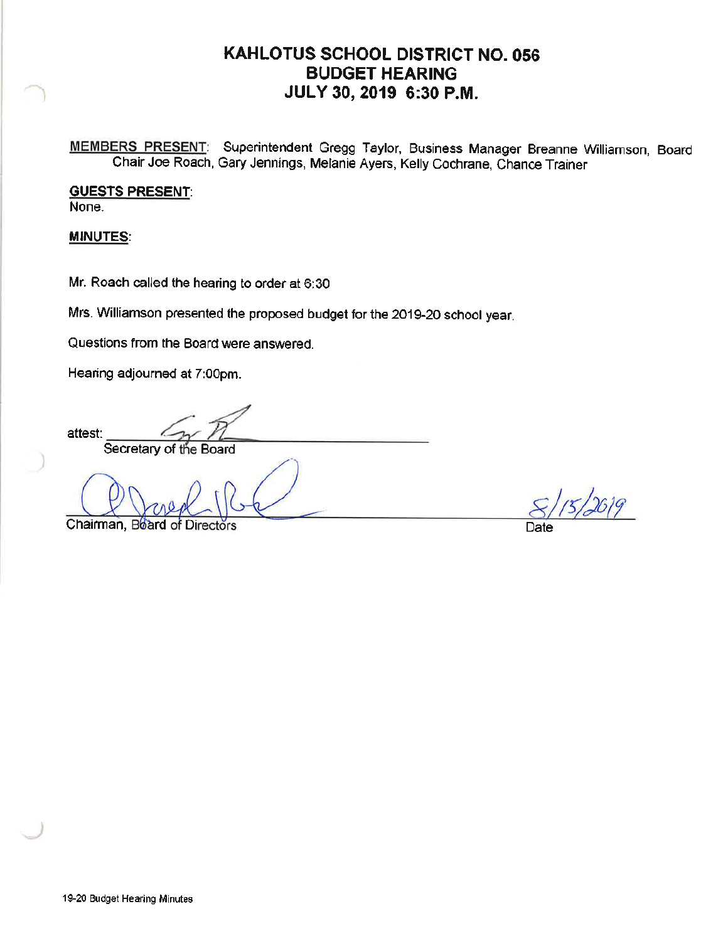# KAHLOTUS SCHOOL DISTRICT NO. 056 **BUDGET HEARING** JULY 30, 2019 6:30 P.M.

MEMBERS PRESENT: Superintendent Gregg Taylor, Business Manager Breanne Williamson, Board Chair Joe Roach, Gary Jennings, Melanie Ayers, Kelly Cochrane, Chance Trainer

**GUESTS PRESENT:** None.

**MINUTES:** 

Mr. Roach called the hearing to order at 6:30

Mrs. Williamson presented the proposed budget for the 2019-20 school year.

Questions from the Board were answered.

Hearing adjourned at 7:00pm.

attest: Secretary of the Board

Chairman, Board of Dir

Date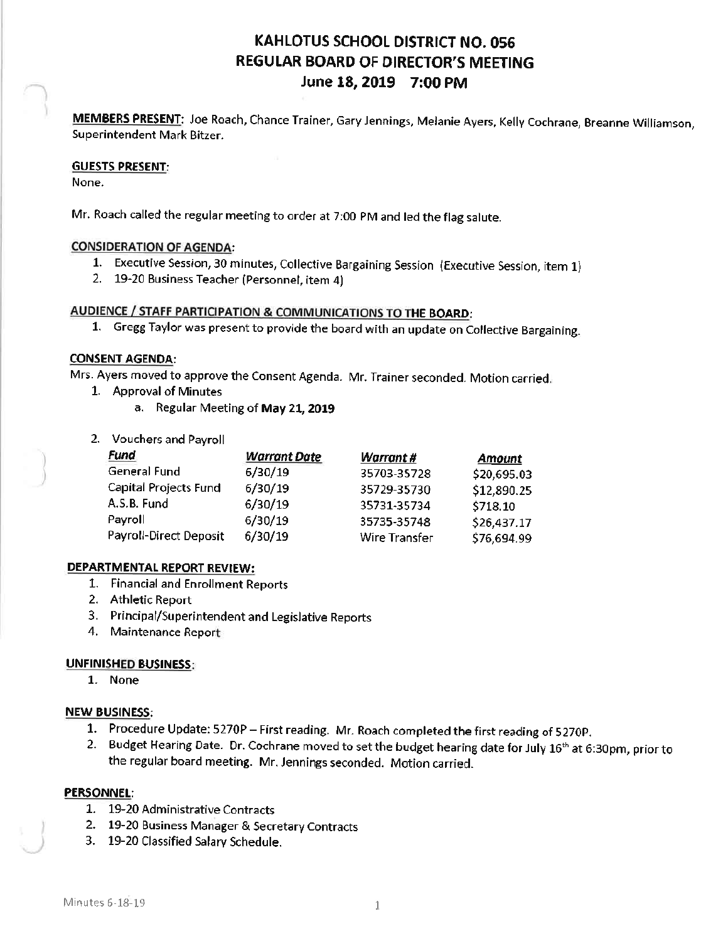# KAHLOTUS SCHOOL DISTRICT NO. 056 **REGULAR BOARD OF DIRECTOR'S MEETING** June 18, 2019 7:00 PM

MEMBERS PRESENT: Joe Roach, Chance Trainer, Gary Jennings, Melanie Ayers, Kelly Cochrane, Breanne Williamson, Superintendent Mark Bitzer.

#### **GUESTS PRESENT:**

None.

Mr. Roach called the regular meeting to order at 7:00 PM and led the flag salute.

#### **CONSIDERATION OF AGENDA:**

- 1. Executive Session, 30 minutes, Collective Bargaining Session (Executive Session, item 1)
- 2. 19-20 Business Teacher (Personnel, item 4)

## AUDIENCE / STAFF PARTICIPATION & COMMUNICATIONS TO THE BOARD:

1. Gregg Taylor was present to provide the board with an update on Collective Bargaining.

#### **CONSENT AGENDA:**

Mrs. Ayers moved to approve the Consent Agenda. Mr. Trainer seconded. Motion carried.

- 1. Approval of Minutes
	- a. Regular Meeting of May 21, 2019
- 2. Vouchers and Payroll

| Fund                          | <b>Warrant Date</b> | Warrant#             | <b>Amount</b> |
|-------------------------------|---------------------|----------------------|---------------|
| General Fund                  | 6/30/19             | 35703-35728          | \$20,695.03   |
| Capital Projects Fund         | 6/30/19             | 35729-35730          | \$12,890.25   |
| A.S.B. Fund                   | 6/30/19             | 35731-35734          | \$718.10      |
| Payroll                       | 6/30/19             | 35735-35748          | \$26,437.17   |
| <b>Payroll-Direct Deposit</b> | 6/30/19             | <b>Wire Transfer</b> | \$76,694.99   |

## **DEPARTMENTAL REPORT REVIEW:**

- 1. Financial and Enrollment Reports
- 2. Athletic Report
- 3. Principal/Superintendent and Legislative Reports
- 4. Maintenance Report

#### **UNFINISHED BUSINESS:**

1. None

## **NEW BUSINESS:**

- 1. Procedure Update: 5270P First reading. Mr. Roach completed the first reading of 5270P.
- 2. Budget Hearing Date. Dr. Cochrane moved to set the budget hearing date for July 16<sup>th</sup> at 6:30pm, prior to the regular board meeting. Mr. Jennings seconded. Motion carried.

## **PERSONNEL:**

- 1. 19-20 Administrative Contracts
- 2. 19-20 Business Manager & Secretary Contracts
- 3. 19-20 Classified Salary Schedule.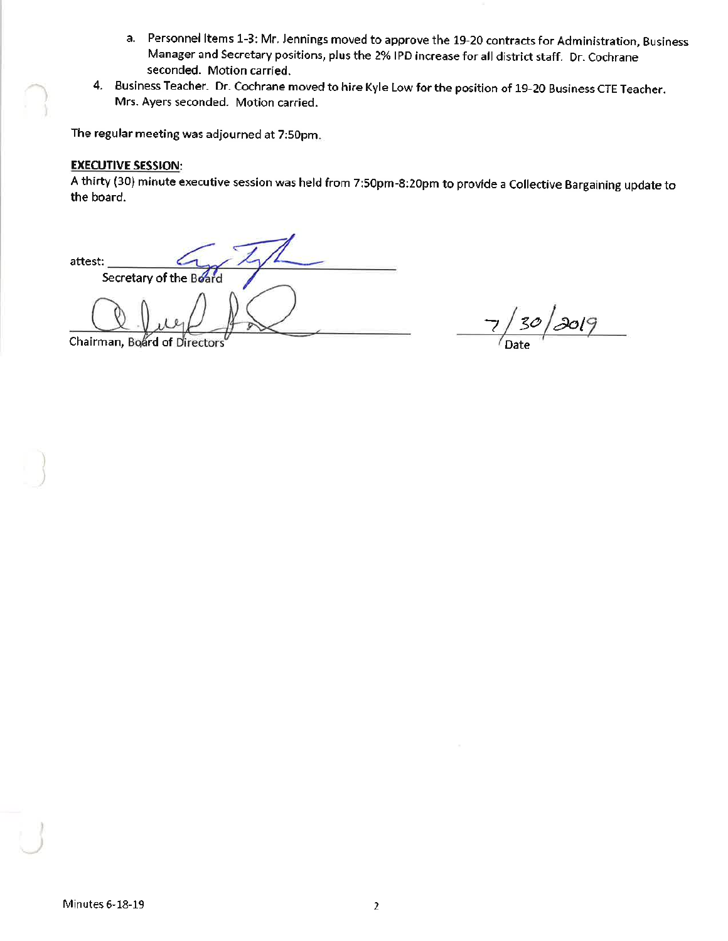- a. Personnel Items 1-3: Mr. Jennings moved to approve the 19-20 contracts for Administration, Business Manager and Secretary positions, plus the 2% IPD increase for all district staff. Dr. Cochrane seconded. Motion carried.
- 4. Business Teacher. Dr. Cochrane moved to hire Kyle Low for the position of 19-20 Business CTE Teacher. Mrs. Ayers seconded. Motion carried.

The regular meeting was adjourned at 7:50pm.

## **EXECUTIVE SESSION:**

A thirty (30) minute executive session was held from 7:50pm-8:20pm to provide a Collective Bargaining update to the board.

attest: Secretary of the Board

<u>| 30 | 2019 </u>  $\overline{z}$ 

Chairman, Board of Directors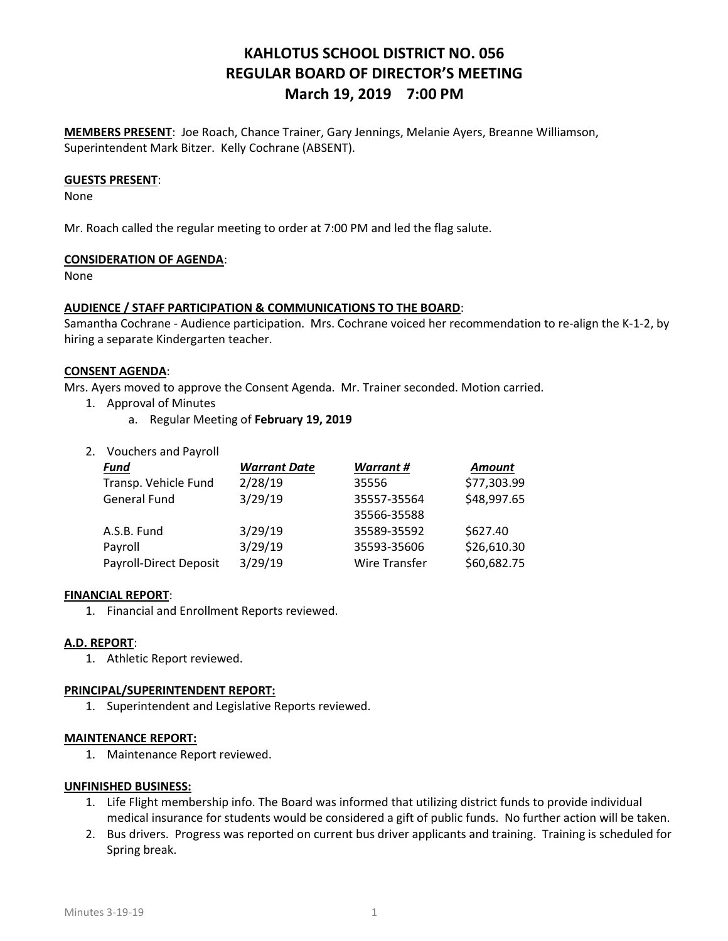## KAHLOTUS SCHOOL DISTRICT NO. 056 REGULAR BOARD OF DIRECTOR'S MEETING March 19, 2019 7:00 PM

MEMBERS PRESENT: Joe Roach, Chance Trainer, Gary Jennings, Melanie Ayers, Breanne Williamson, Superintendent Mark Bitzer. Kelly Cochrane (ABSENT).

#### GUESTS PRESENT:

None

Mr. Roach called the regular meeting to order at 7:00 PM and led the flag salute.

#### CONSIDERATION OF AGENDA:

None

#### AUDIENCE / STAFF PARTICIPATION & COMMUNICATIONS TO THE BOARD:

Samantha Cochrane - Audience participation. Mrs. Cochrane voiced her recommendation to re-align the K-1-2, by hiring a separate Kindergarten teacher.

#### CONSENT AGENDA:

Mrs. Ayers moved to approve the Consent Agenda. Mr. Trainer seconded. Motion carried.

- 1. Approval of Minutes
	- a. Regular Meeting of February 19, 2019
- 2. Vouchers and Payroll

| <b>Fund</b>            | <b>Warrant Date</b> | <b>Warrant#</b> | <b>Amount</b> |
|------------------------|---------------------|-----------------|---------------|
| Transp. Vehicle Fund   | 2/28/19             | 35556           | \$77,303.99   |
| General Fund           | 3/29/19             | 35557-35564     | \$48,997.65   |
|                        |                     | 35566-35588     |               |
| A.S.B. Fund            | 3/29/19             | 35589-35592     | \$627.40      |
| Payroll                | 3/29/19             | 35593-35606     | \$26,610.30   |
| Payroll-Direct Deposit | 3/29/19             | Wire Transfer   | \$60,682.75   |

#### FINANCIAL REPORT:

1. Financial and Enrollment Reports reviewed.

#### A.D. REPORT:

1. Athletic Report reviewed.

#### PRINCIPAL/SUPERINTENDENT REPORT:

1. Superintendent and Legislative Reports reviewed.

#### MAINTENANCE REPORT:

1. Maintenance Report reviewed.

#### UNFINISHED BUSINESS:

- 1. Life Flight membership info. The Board was informed that utilizing district funds to provide individual medical insurance for students would be considered a gift of public funds. No further action will be taken.
- 2. Bus drivers. Progress was reported on current bus driver applicants and training. Training is scheduled for Spring break.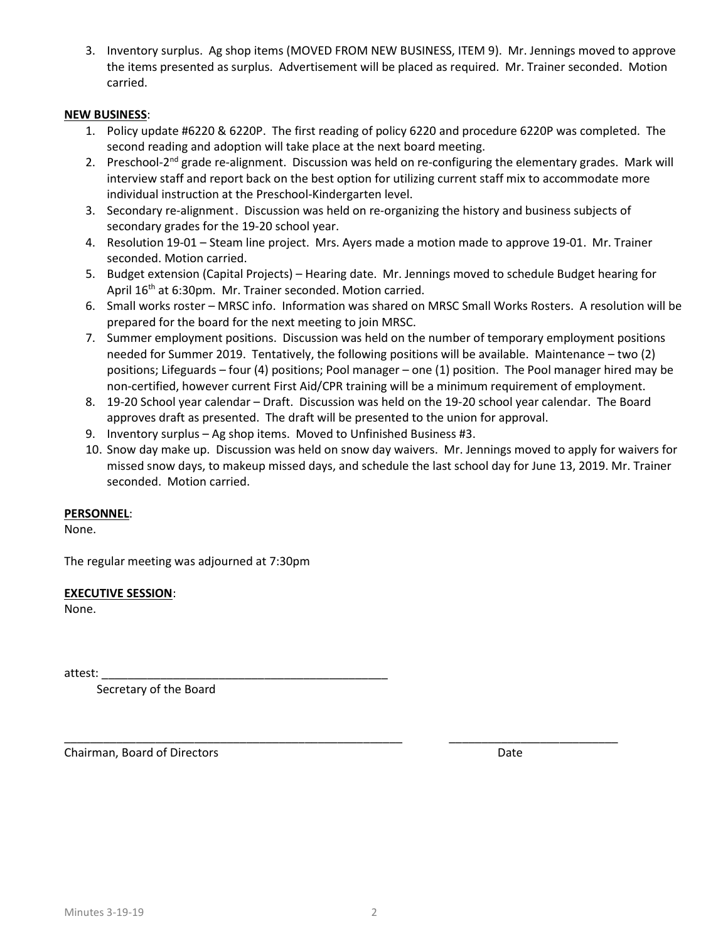3. Inventory surplus. Ag shop items (MOVED FROM NEW BUSINESS, ITEM 9). Mr. Jennings moved to approve the items presented as surplus. Advertisement will be placed as required. Mr. Trainer seconded. Motion carried.

#### NEW BUSINESS:

- 1. Policy update #6220 & 6220P. The first reading of policy 6220 and procedure 6220P was completed. The second reading and adoption will take place at the next board meeting.
- 2. Preschool-2<sup>nd</sup> grade re-alignment. Discussion was held on re-configuring the elementary grades. Mark will interview staff and report back on the best option for utilizing current staff mix to accommodate more individual instruction at the Preschool-Kindergarten level.
- 3. Secondary re-alignment . Discussion was held on re-organizing the history and business subjects of secondary grades for the 19-20 school year.
- 4. Resolution 19-01 Steam line project. Mrs. Ayers made a motion made to approve 19-01. Mr. Trainer seconded. Motion carried.
- 5. Budget extension (Capital Projects) Hearing date. Mr. Jennings moved to schedule Budget hearing for April 16<sup>th</sup> at 6:30pm. Mr. Trainer seconded. Motion carried.
- 6. Small works roster MRSC info. Information was shared on MRSC Small Works Rosters. A resolution will be prepared for the board for the next meeting to join MRSC.
- 7. Summer employment positions. Discussion was held on the number of temporary employment positions needed for Summer 2019. Tentatively, the following positions will be available. Maintenance – two (2) positions; Lifeguards – four (4) positions; Pool manager – one (1) position. The Pool manager hired may be non-certified, however current First Aid/CPR training will be a minimum requirement of employment.
- 8. 19-20 School year calendar Draft. Discussion was held on the 19-20 school year calendar. The Board approves draft as presented. The draft will be presented to the union for approval.
- 9. Inventory surplus Ag shop items. Moved to Unfinished Business #3.
- 10. Snow day make up. Discussion was held on snow day waivers. Mr. Jennings moved to apply for waivers for missed snow days, to makeup missed days, and schedule the last school day for June 13, 2019. Mr. Trainer seconded. Motion carried.

## PERSONNEL:

None.

The regular meeting was adjourned at 7:30pm

#### EXECUTIVE SESSION:

None.

attest: \_\_\_\_\_\_\_\_\_\_\_\_\_\_\_\_\_\_\_\_\_\_\_\_\_\_\_\_\_\_\_\_\_\_\_\_\_\_\_\_\_\_\_\_

Secretary of the Board

Chairman, Board of Directors **Date and Access 2018** Date Date Date Date

\_\_\_\_\_\_\_\_\_\_\_\_\_\_\_\_\_\_\_\_\_\_\_\_\_\_\_\_\_\_\_\_\_\_\_\_\_\_\_\_\_\_\_\_\_\_\_\_\_\_\_\_ \_\_\_\_\_\_\_\_\_\_\_\_\_\_\_\_\_\_\_\_\_\_\_\_\_\_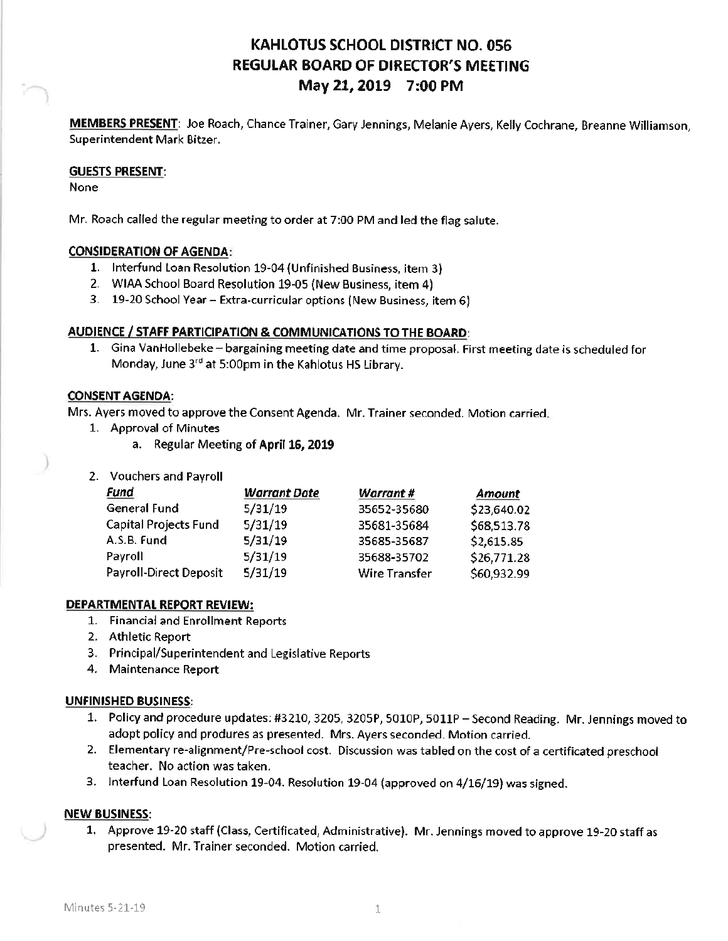# KAHLOTUS SCHOOL DISTRICT NO. 056 **REGULAR BOARD OF DIRECTOR'S MEETING** May 21, 2019 7:00 PM

MEMBERS PRESENT: Joe Roach, Chance Trainer, Gary Jennings, Melanie Ayers, Kelly Cochrane, Breanne Williamson, Superintendent Mark Bitzer.

#### **GUESTS PRESENT:**

None

Mr. Roach called the regular meeting to order at 7:00 PM and led the flag salute.

## **CONSIDERATION OF AGENDA:**

- 1. Interfund Loan Resolution 19-04 (Unfinished Business, item 3)
- 2. WIAA School Board Resolution 19-05 (New Business, item 4)
- 3. 19-20 School Year Extra-curricular options (New Business, item 6)

## AUDIENCE / STAFF PARTICIPATION & COMMUNICATIONS TO THE BOARD:

1. Gina VanHollebeke - bargaining meeting date and time proposal. First meeting date is scheduled for Monday, June 3rd at 5:00pm in the Kahlotus HS Library.

## **CONSENT AGENDA:**

Mrs. Ayers moved to approve the Consent Agenda. Mr. Trainer seconded. Motion carried.

- 1. Approval of Minutes
	- a. Regular Meeting of April 16, 2019
- 2. Vouchers and Payroll

| <b>Fund</b>                   | <b>Warrant Date</b> | <b>Warrant#</b> | Amount      |
|-------------------------------|---------------------|-----------------|-------------|
| <b>General Fund</b>           | 5/31/19             | 35652-35680     | \$23,640.02 |
| Capital Projects Fund         | 5/31/19             | 35681-35684     | \$68,513.78 |
| A.S.B. Fund                   | 5/31/19             | 35685-35687     | \$2,615.85  |
| Payroll                       | 5/31/19             | 35688-35702     | \$26,771.28 |
| <b>Payroll-Direct Deposit</b> | 5/31/19             | Wire Transfer   | \$60,932.99 |

## **DEPARTMENTAL REPORT REVIEW:**

- 1. Financial and Enrollment Reports
- 2. Athletic Report
- 3. Principal/Superintendent and Legislative Reports
- 4. Maintenance Report

## **UNFINISHED BUSINESS:**

- 1. Policy and procedure updates: #3210, 3205, 3205P, 5010P, 5011P Second Reading. Mr. Jennings moved to adopt policy and produres as presented. Mrs. Ayers seconded. Motion carried.
- 2. Elementary re-alignment/Pre-school cost. Discussion was tabled on the cost of a certificated preschool teacher. No action was taken.
- 3. Interfund Loan Resolution 19-04. Resolution 19-04 (approved on 4/16/19) was signed.

## **NEW BUSINESS:**

1. Approve 19-20 staff (Class, Certificated, Administrative). Mr. Jennings moved to approve 19-20 staff as presented. Mr. Trainer seconded. Motion carried.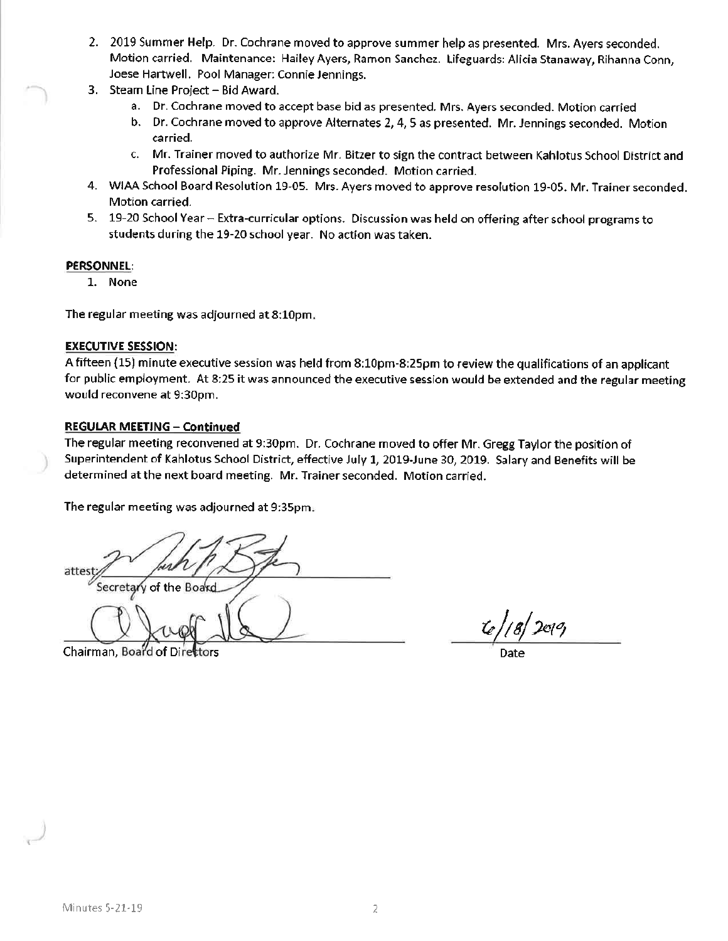- 2. 2019 Summer Help. Dr. Cochrane moved to approve summer help as presented. Mrs. Ayers seconded. Motion carried. Maintenance: Hailey Ayers, Ramon Sanchez. Lifeguards: Alicia Stanaway, Rihanna Conn, Joese Hartwell. Pool Manager: Connie Jennings.
- 3. Steam Line Project Bid Award.
	- a. Dr. Cochrane moved to accept base bid as presented. Mrs. Ayers seconded. Motion carried
	- b. Dr. Cochrane moved to approve Alternates 2, 4, 5 as presented. Mr. Jennings seconded. Motion carried.
	- c. Mr. Trainer moved to authorize Mr. Bitzer to sign the contract between Kahlotus School District and Professional Piping. Mr. Jennings seconded. Motion carried.
- 4. WIAA School Board Resolution 19-05. Mrs. Ayers moved to approve resolution 19-05. Mr. Trainer seconded. Motion carried.
- 5. 19-20 School Year Extra-curricular options. Discussion was held on offering after school programs to students during the 19-20 school year. No action was taken.

#### **PERSONNEL:**

1. None

The regular meeting was adjourned at 8:10pm.

#### **EXECUTIVE SESSION:**

A fifteen (15) minute executive session was held from 8:10pm-8:25pm to review the qualifications of an applicant for public employment. At 8:25 it was announced the executive session would be extended and the regular meeting would reconvene at 9:30pm.

#### **REGULAR MEETING - Continued**

The regular meeting reconvened at 9:30pm. Dr. Cochrane moved to offer Mr. Gregg Taylor the position of Superintendent of Kahlotus School District, effective July 1, 2019-June 30, 2019. Salary and Benefits will be determined at the next board meeting. Mr. Trainer seconded. Motion carried.

The regular meeting was adjourned at 9:35pm.

y of the Board

Chairman, Board of Dire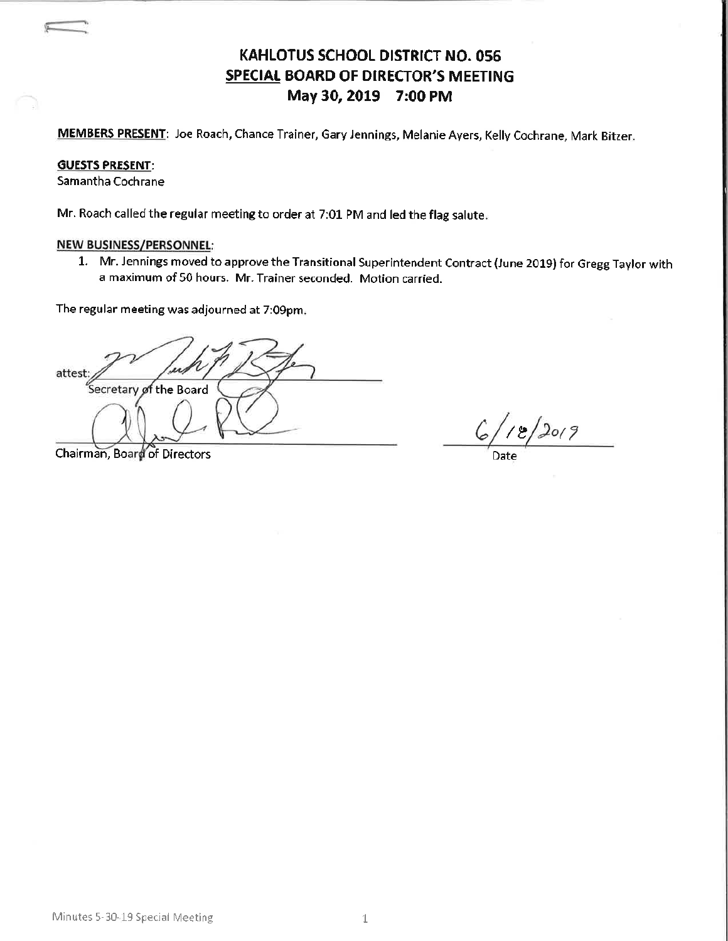# **KAHLOTUS SCHOOL DISTRICT NO. 056** SPECIAL BOARD OF DIRECTOR'S MEETING May 30, 2019 7:00 PM

MEMBERS PRESENT: Joe Roach, Chance Trainer, Gary Jennings, Melanie Ayers, Kelly Cochrane, Mark Bitzer.

#### **GUESTS PRESENT:**

Samantha Cochrane

Mr. Roach called the regular meeting to order at 7:01 PM and led the flag salute.

#### **NEW BUSINESS/PERSONNEL:**

1. Mr. Jennings moved to approve the Transitional Superintendent Contract (June 2019) for Gregg Taylor with a maximum of 50 hours. Mr. Trainer seconded. Motion carried.

The regular meeting was adjourned at 7:09pm.

attest secretary of the Board

Chairman, Board of Directors

 $118/2019$  $6/$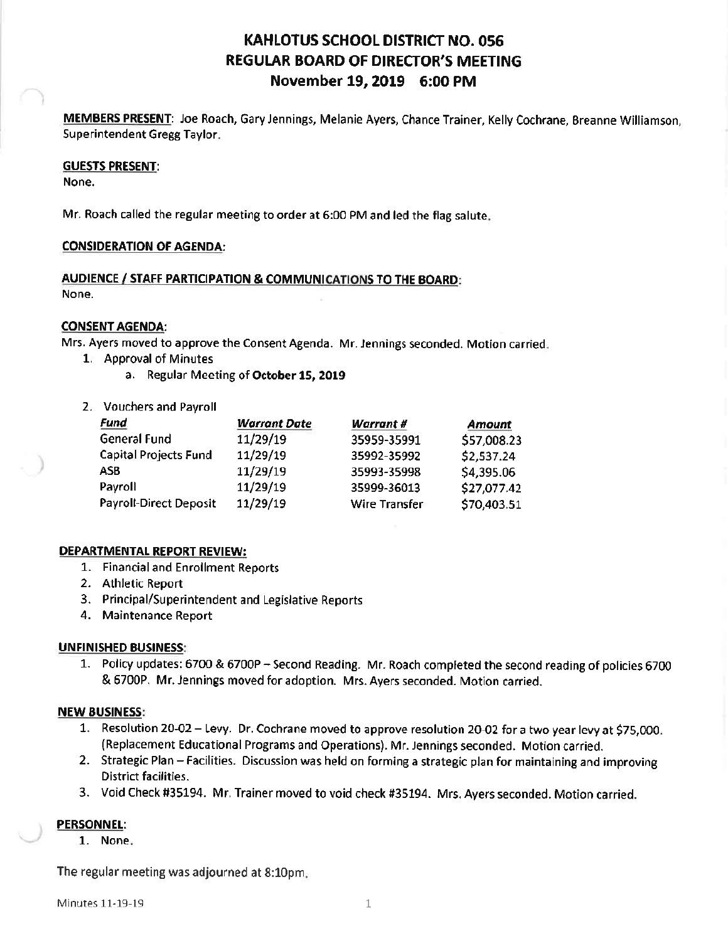## **KAHLOTUS SCHOOL DISTRICT NO. 056 REGULAR BOARD OF DIRECTOR'S MEETING** November 19, 2019 6:00 PM

MEMBERS PRESENT: Joe Roach, Gary Jennings, Melanie Ayers, Chance Trainer, Kelly Cochrane, Breanne Williamson, **Superintendent Gregg Taylor.** 

#### **GUESTS PRESENT:**

None.

Mr. Roach called the regular meeting to order at 6:00 PM and led the flag salute.

#### **CONSIDERATION OF AGENDA:**

#### AUDIENCE / STAFF PARTICIPATION & COMMUNICATIONS TO THE BOARD: None.

#### **CONSENT AGENDA:**

Mrs. Ayers moved to approve the Consent Agenda. Mr. Jennings seconded. Motion carried:

- 1. Approval of Minutes
	- a. Regular Meeting of October 15, 2019
- 2. Vouchers and Payroll

| Fund                          | <b>Warrant Date</b> | <b>Warrant #</b> | Amount      |
|-------------------------------|---------------------|------------------|-------------|
| <b>General Fund</b>           | 11/29/19            | 35959-35991      | \$57,008.23 |
| <b>Capital Projects Fund</b>  | 11/29/19            | 35992-35992      | \$2,537.24  |
| ASB                           | 11/29/19            | 35993-35998      | \$4,395.06  |
| Payroll                       | 11/29/19            | 35999-36013      | \$27,077.42 |
| <b>Payroll-Direct Deposit</b> | 11/29/19            | Wire Transfer    | \$70,403.51 |

## **DEPARTMENTAL REPORT REVIEW:**

- 1. Financial and Enrollment Reports
- 2. Athletic Report
- 3. Principal/Superintendent and Legislative Reports
- 4. Maintenance Report

## **UNFINISHED BUSINESS:**

1. Policy updates: 6700 & 6700P - Second Reading. Mr. Roach completed the second reading of policies 6700 & 6700P. Mr. Jennings moved for adoption. Mrs. Ayers seconded. Motion carried.

## **NEW BUSINESS:**

- 1. Resolution 20-02 Levy. Dr. Cochrane moved to approve resolution 20-02 for a two year levy at \$75,000. (Replacement Educational Programs and Operations). Mr. Jennings seconded. Motion carried.
- 2. Strategic Plan Facilities. Discussion was held on forming a strategic plan for maintaining and improving **District facilities.**
- 3. Void Check #35194. Mr. Trainer moved to void check #35194. Mrs. Ayers seconded. Motion carried.

## **PERSONNEL:**

1. None.

The regular meeting was adjourned at 8:10pm.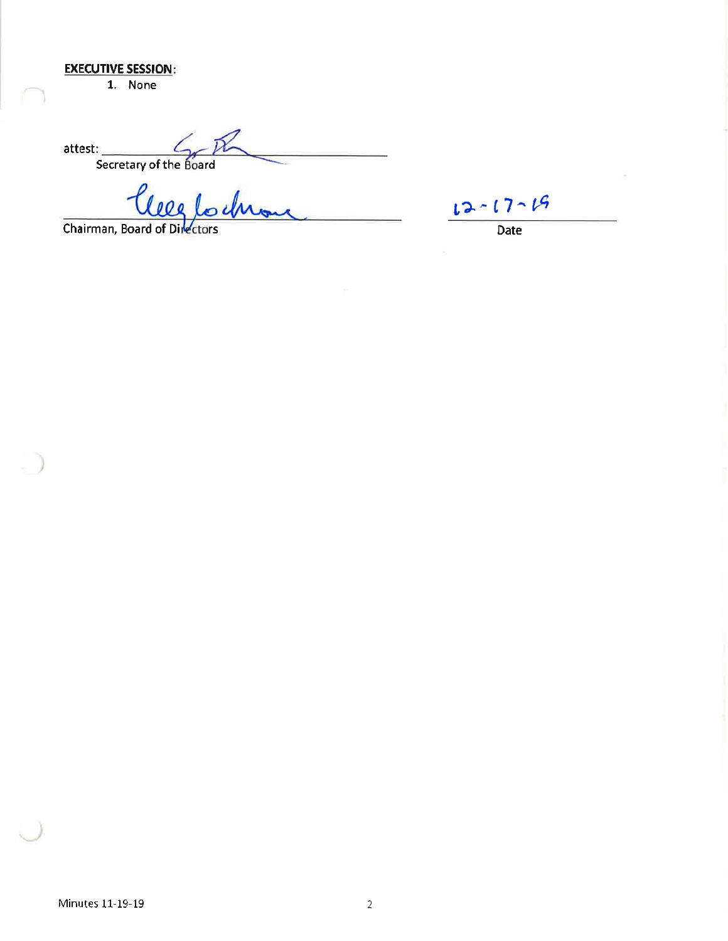## **EXECUTIVE SESSION:**

1. None

attest:<br>Secretary of the Board

Chairman, Board of Directors

 $12 - 17 - 19$ 

 $\overline{Date}$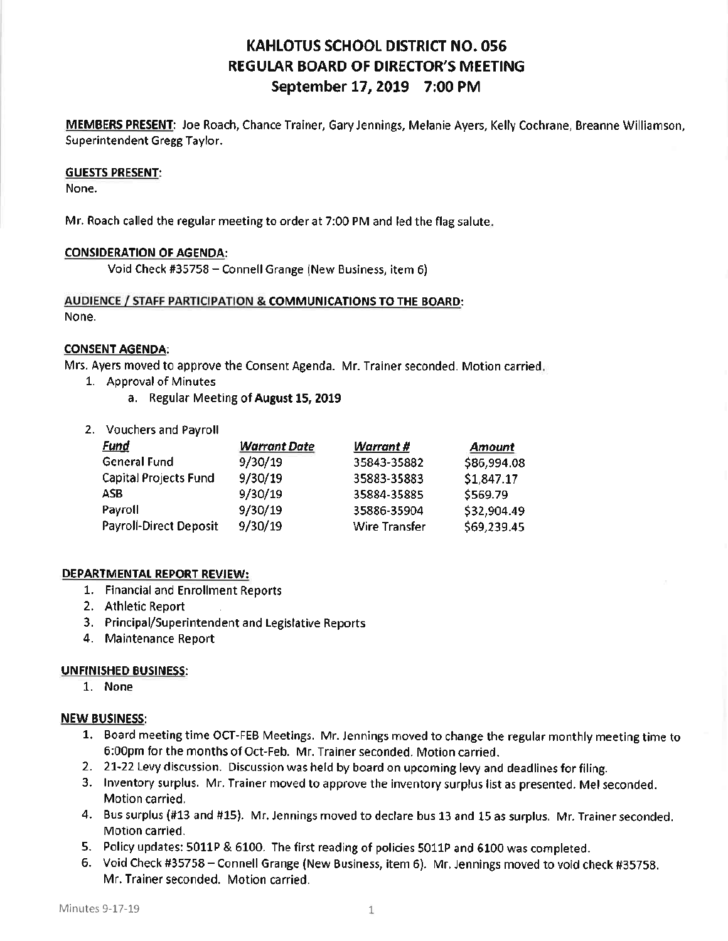# **KAHLOTUS SCHOOL DISTRICT NO. 056 REGULAR BOARD OF DIRECTOR'S MEETING** September 17, 2019 7:00 PM

MEMBERS PRESENT: Joe Roach, Chance Trainer, Gary Jennings, Melanie Ayers, Kelly Cochrane, Breanne Williamson, Superintendent Gregg Taylor.

#### **GUESTS PRESENT:**

None.

Mr. Roach called the regular meeting to order at 7:00 PM and led the flag salute.

## **CONSIDERATION OF AGENDA:**

Void Check #35758 - Connell Grange (New Business, item 6)

#### AUDIENCE / STAFF PARTICIPATION & COMMUNICATIONS TO THE BOARD: None.

#### **CONSENT AGENDA:**

Mrs. Ayers moved to approve the Consent Agenda. Mr. Trainer seconded. Motion carried.

- 1. Approval of Minutes
	- a. Regular Meeting of August 15, 2019
- 2. Vouchers and Payroll

| <u>Fund</u>                   | <b>Warrant Date</b> | Warrant #            | Amount      |
|-------------------------------|---------------------|----------------------|-------------|
| <b>General Fund</b>           | 9/30/19             | 35843-35882          | \$86,994.08 |
| <b>Capital Projects Fund</b>  | 9/30/19             | 35883-35883          | \$1,847.17  |
| ASB                           | 9/30/19             | 35884-35885          | \$569.79    |
| Payroll                       | 9/30/19             | 35886-35904          | \$32,904.49 |
| <b>Payroll-Direct Deposit</b> | 9/30/19             | <b>Wire Transfer</b> | \$69,239.45 |

## DEPARTMENTAL REPORT REVIEW:

- 1. Financial and Enrollment Reports
- 2. Athletic Report
- 3. Principal/Superintendent and Legislative Reports
- 4. Maintenance Report

## **UNFINISHED BUSINESS:**

1. None

## **NEW BUSINESS:**

- 1. Board meeting time OCT-FEB Meetings. Mr. Jennings moved to change the regular monthly meeting time to 6:00pm for the months of Oct-Feb. Mr. Trainer seconded. Motion carried.
- 2. 21-22 Levy discussion. Discussion was held by board on upcoming levy and deadlines for filing.
- 3. Inventory surplus. Mr. Trainer moved to approve the inventory surplus list as presented. Mel seconded. Motion carried.
- 4. Bus surplus (#13 and #15). Mr. Jennings moved to declare bus 13 and 15 as surplus. Mr. Trainer seconded. Motion carried.
- 5. Policy updates: 5011P & 6100. The first reading of policies 5011P and 6100 was completed.
- 6. Void Check #35758 Connell Grange (New Business, item 6). Mr. Jennings moved to void check #35758. Mr. Trainer seconded. Motion carried.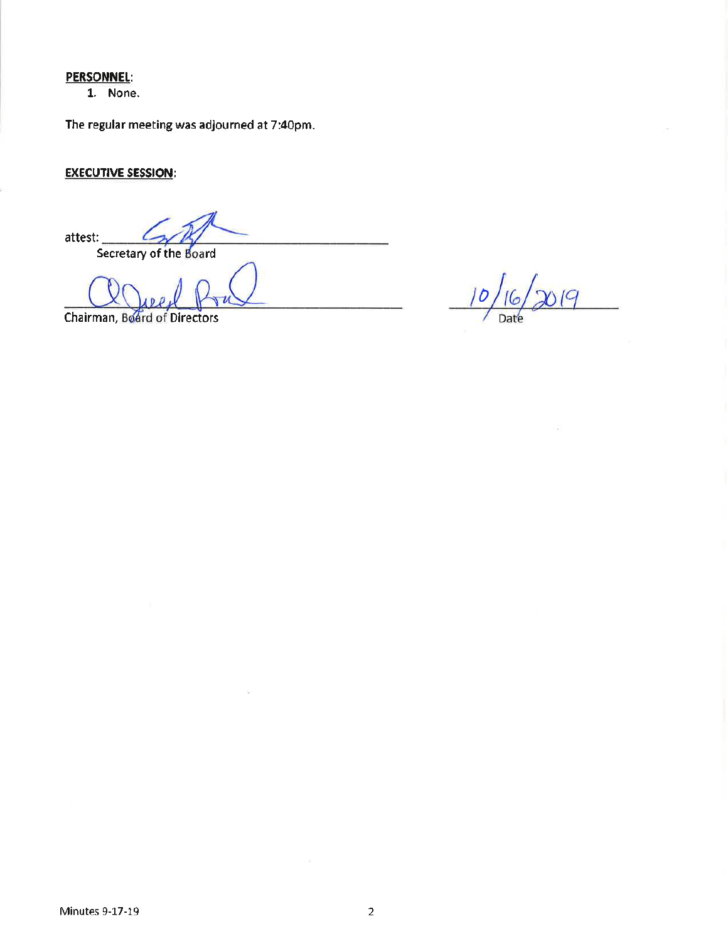## **PERSONNEL:**

1. None.

The regular meeting was adjourned at 7:40pm.

## **EXECUTIVE SESSION:**

attest: Secretary of the Board

ç.

Chairman, Board of Directors

 $10<sub>l</sub>$  $16/2019$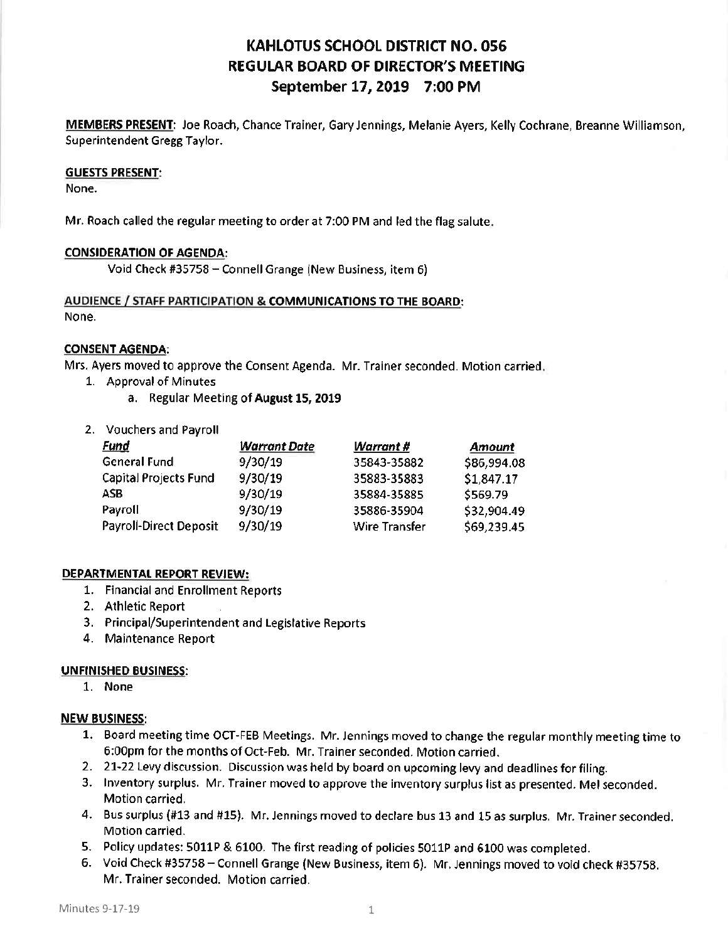# **KAHLOTUS SCHOOL DISTRICT NO. 056 REGULAR BOARD OF DIRECTOR'S MEETING** September 17, 2019 7:00 PM

MEMBERS PRESENT: Joe Roach, Chance Trainer, Gary Jennings, Melanie Ayers, Kelly Cochrane, Breanne Williamson, Superintendent Gregg Taylor.

#### **GUESTS PRESENT:**

None.

Mr. Roach called the regular meeting to order at 7:00 PM and led the flag salute.

## **CONSIDERATION OF AGENDA:**

Void Check #35758 - Connell Grange (New Business, item 6)

#### AUDIENCE / STAFF PARTICIPATION & COMMUNICATIONS TO THE BOARD: None.

#### **CONSENT AGENDA:**

Mrs. Ayers moved to approve the Consent Agenda. Mr. Trainer seconded. Motion carried.

- 1. Approval of Minutes
	- a. Regular Meeting of August 15, 2019
- 2. Vouchers and Payroll

| <u>Fund</u>                   | <b>Warrant Date</b> | Warrant #            | Amount      |
|-------------------------------|---------------------|----------------------|-------------|
| <b>General Fund</b>           | 9/30/19             | 35843-35882          | \$86,994.08 |
| <b>Capital Projects Fund</b>  | 9/30/19             | 35883-35883          | \$1,847.17  |
| ASB                           | 9/30/19             | 35884-35885          | \$569.79    |
| Payroll                       | 9/30/19             | 35886-35904          | \$32,904.49 |
| <b>Payroll-Direct Deposit</b> | 9/30/19             | <b>Wire Transfer</b> | \$69,239.45 |

## DEPARTMENTAL REPORT REVIEW:

- 1. Financial and Enrollment Reports
- 2. Athletic Report
- 3. Principal/Superintendent and Legislative Reports
- 4. Maintenance Report

## **UNFINISHED BUSINESS:**

1. None

## **NEW BUSINESS:**

- 1. Board meeting time OCT-FEB Meetings. Mr. Jennings moved to change the regular monthly meeting time to 6:00pm for the months of Oct-Feb. Mr. Trainer seconded. Motion carried.
- 2. 21-22 Levy discussion. Discussion was held by board on upcoming levy and deadlines for filing.
- 3. Inventory surplus. Mr. Trainer moved to approve the inventory surplus list as presented. Mel seconded. Motion carried.
- 4. Bus surplus (#13 and #15). Mr. Jennings moved to declare bus 13 and 15 as surplus. Mr. Trainer seconded. Motion carried.
- 5. Policy updates: 5011P & 6100. The first reading of policies 5011P and 6100 was completed.
- 6. Void Check #35758 Connell Grange (New Business, item 6). Mr. Jennings moved to void check #35758. Mr. Trainer seconded. Motion carried.